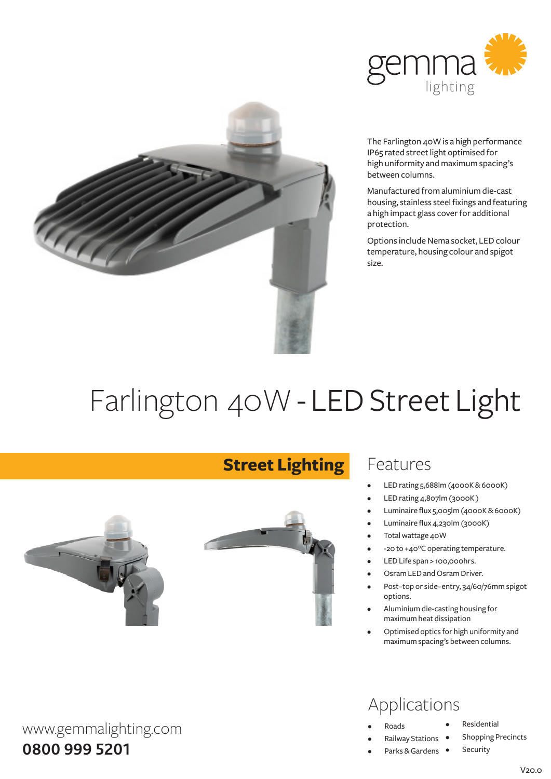



The Farlington 40W is a high performance IP65 rated street light optimised for high uniformity and maximum spacing's between columns.

Manufactured fromaluminiumdie-cast housing, stainless steel fixings and featuring a high impact glass cover for additional protection.

Options include Nema socket, LED colour temperature, housing colour and spigot size.

# Farlington 40W - LED Street Light

**Street Lighting**



### Features

- LED rating 5,688lm (4000K & 6000K)
- LED rating 4,807lm (3000K)
- Luminaire flux 5,005lm (4000K & 6000K)
- Luminaire flux 4,230lm (3000K)
- Total wattage 40W
- -20 to +40°C operating temperature.
- LED Life span > 100,000hrs.
- Osram LED and Osram Driver.
- Post-top or side-entry, 34/60/76mm spigot options.
- Aluminium die-casting housing for maximumheat dissipation
- Optimised optics for high uniformity and maximumspacing's between columns.

### Applications

- **Roads**
- **Railway Stations**
- Parks & Gardens •
- **Residential**
- **Shopping Precincts** 
	- Security

#### $V200$

www.gemmalighting.com **0800 999 5201**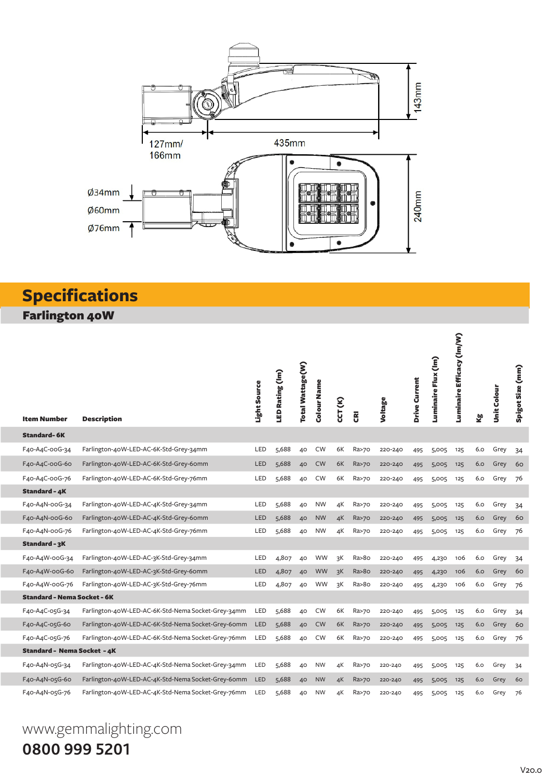

## **Specifications**

Farlington 40W

| <b>Item Number</b>                 | <b>Description</b>                                 | Light Source | LED Rating (Im) | Total Wattage(W) | Colour Name | CCT (K) | g               | Voltage | Drive Current | Luminaire Flux (Im) | Luminaire Efficacy (Im/W) | Σġ  | <b>Unit Colour</b> | Spigot Size (mm) |
|------------------------------------|----------------------------------------------------|--------------|-----------------|------------------|-------------|---------|-----------------|---------|---------------|---------------------|---------------------------|-----|--------------------|------------------|
| <b>Standard-6K</b>                 |                                                    |              |                 |                  |             |         |                 |         |               |                     |                           |     |                    |                  |
| F40-A4C-00G-34                     | Farlington-40W-LED-AC-6K-Std-Grey-34mm             | LED          | 5,688           | 40               | <b>CW</b>   | 6K      | Ra>70           | 220-240 | 495           | 5,005               | 125                       | 6.0 | Grey               | 34               |
| F40-A4C-00G-60                     | Farlington-40W-LED-AC-6K-Std-Grey-60mm             | LED          | 5,688           | 40               | <b>CW</b>   | 6K      | Ra>70           | 220-240 | 495           | 5,005               | 125                       | 6.0 | Grey               | 60               |
| F40-A4C-00G-76                     | Farlington-40W-LED-AC-6K-Std-Grey-76mm             | LED          | 5,688           | 40               | <b>CW</b>   | 6K      | Ra>70           | 220-240 | 495           | 5,005               | 125                       | 6.0 | Grey               | 76               |
| <b>Standard - 4K</b>               |                                                    |              |                 |                  |             |         |                 |         |               |                     |                           |     |                    |                  |
| F40-A4N-00G-34                     | Farlington-40W-LED-AC-4K-Std-Grey-34mm             | LED          | 5,688           | 40               | <b>NW</b>   | 4К      | Ra>70           | 220-240 | 495           | 5,005               | 125                       | 6.0 | Grey               | 34               |
| F40-A4N-00G-60                     | Farlington-40W-LED-AC-4K-Std-Grey-60mm             | LED          | 5,688           | 40               | <b>NW</b>   | 4K      | Ra>70           | 220-240 | 495           | 5,005               | 125                       | 6.0 | Grey               | 60               |
| F40-A4N-00G-76                     | Farlington-40W-LED-AC-4K-Std-Grey-76mm             | LED          | 5,688           | 40               | <b>NW</b>   | 4K      | Ra>70           | 220-240 | 495           | 5,005               | 125                       | 6.0 | Grey               | 76               |
| Standard - 3K                      |                                                    |              |                 |                  |             |         |                 |         |               |                     |                           |     |                    |                  |
| F40-A4W-00G-34                     | Farlington-40W-LED-AC-3K-Std-Grey-34mm             | LED          | 4,807           | 40               | WW          | зK      | Ra>8o           | 220-240 | 495           | 4,230               | 106                       | 6.0 | Grey               | 34               |
| F40-A4W-00G-60                     | Farlington-40W-LED-AC-3K-Std-Grey-60mm             | LED          | 4,807           | 40               | WW          | зK      | Ra > 80         | 220-240 | 495           | 4,230               | 106                       | 6.0 | Grey               | 60               |
| F40-A4W-00G-76                     | Farlington-40W-LED-AC-3K-Std-Grey-76mm             | LED          | 4,807           | 40               | <b>WW</b>   | 3K      | Ra>8o           | 220-240 | 495           | 4,230               | 106                       | 6.0 | Grey               | 76               |
| <b>Standard - Nema Socket - 6K</b> |                                                    |              |                 |                  |             |         |                 |         |               |                     |                           |     |                    |                  |
| F40-A4C-05G-34                     | Farlington-40W-LED-AC-6K-Std-Nema Socket-Grey-34mm | LED          | 5,688           | 40               | <b>CW</b>   | 6K      | Ra>70           | 220-240 | 495           | 5,005               | 125                       | 6.0 | Grey               | 34               |
| F40-A4C-05G-60                     | Farlington-40W-LED-AC-6K-Std-Nema Socket-Grey-60mm | <b>LED</b>   | 5,688           | 40               | <b>CW</b>   | 6K      | Ra>70           | 220-240 | 495           | 5,005               | 125                       | 6.0 | Grey               | 60               |
| F40-A4C-05G-76                     | Farlington-40W-LED-AC-6K-Std-Nema Socket-Grey-76mm | LED          | 5,688           | 40               | CW          | 6K      | Ra>70           | 220-240 | 495           | 5,005               | 125                       | 6.0 | Grey               | 76               |
| Standard - Nema Socket - 4K        |                                                    |              |                 |                  |             |         |                 |         |               |                     |                           |     |                    |                  |
| F40-A4N-05G-34                     | Farlington-40W-LED-AC-4K-Std-Nema Socket-Grey-34mm | LED          | 5,688           | 40               | <b>NW</b>   | 4К      | Ra>70           | 220-240 | 495           | 5,005               | 125                       | 6.0 | Grey               | 34               |
| F40-A4N-05G-60                     | Farlington-40W-LED-AC-4K-Std-Nema Socket-Grey-60mm | <b>LED</b>   | 5,688           | 40               | <b>NW</b>   | 4K      | <b>Ra&gt;70</b> | 220-240 | 495           | 5,005               | 125                       | 6.0 | Grey               | 60               |
| F40-A4N-05G-76                     | Farlington-40W-LED-AC-4K-Std-Nema Socket-Grey-76mm | LED          | 5,688           | 40               | <b>NW</b>   | 4К      | Ra>70           | 220-240 | 495           | 5,005               | 125                       | 6.0 | Grey               | 76               |

# www.gemmalighting.com